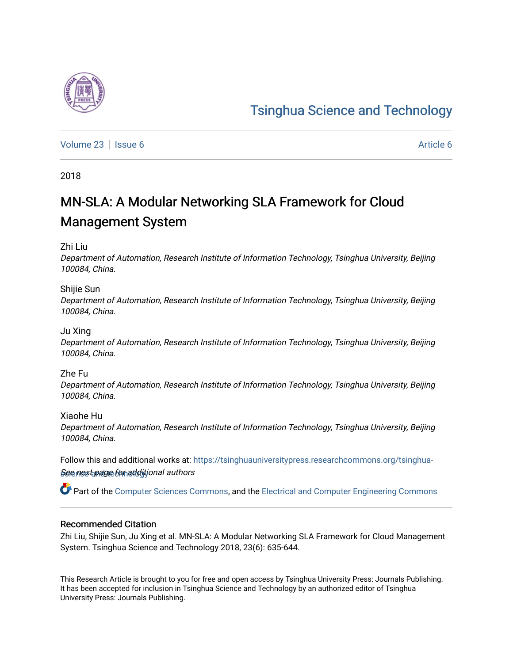# [Tsinghua Science and Technology](https://tsinghuauniversitypress.researchcommons.org/tsinghua-science-and-technology)

[Volume 23](https://tsinghuauniversitypress.researchcommons.org/tsinghua-science-and-technology/vol23) | [Issue 6](https://tsinghuauniversitypress.researchcommons.org/tsinghua-science-and-technology/vol23/iss6) [Article 6](https://tsinghuauniversitypress.researchcommons.org/tsinghua-science-and-technology/vol23/iss6/6) Article 6 Article 6 Article 6 Article 6 Article 6 Article 6 Article 6 Article 6

2018

# MN-SLA: A Modular Networking SLA Framework for Cloud Management System

Zhi Liu

Department of Automation, Research Institute of Information Technology, Tsinghua University, Beijing 100084, China.

Shijie Sun

Department of Automation, Research Institute of Information Technology, Tsinghua University, Beijing 100084, China.

Ju Xing

Department of Automation, Research Institute of Information Technology, Tsinghua University, Beijing 100084, China.

Zhe Fu

Department of Automation, Research Institute of Information Technology, Tsinghua University, Beijing 100084, China.

Xiaohe Hu Department of Automation, Research Institute of Information Technology, Tsinghua University, Beijing 100084, China.

Seenext page for additjonal authors Follow this and additional works at: [https://tsinghuauniversitypress.researchcommons.org/tsinghua-](https://tsinghuauniversitypress.researchcommons.org/tsinghua-science-and-technology?utm_source=tsinghuauniversitypress.researchcommons.org%2Ftsinghua-science-and-technology%2Fvol23%2Fiss6%2F6&utm_medium=PDF&utm_campaign=PDFCoverPages)

Part of the [Computer Sciences Commons](http://network.bepress.com/hgg/discipline/142?utm_source=tsinghuauniversitypress.researchcommons.org%2Ftsinghua-science-and-technology%2Fvol23%2Fiss6%2F6&utm_medium=PDF&utm_campaign=PDFCoverPages), and the [Electrical and Computer Engineering Commons](http://network.bepress.com/hgg/discipline/266?utm_source=tsinghuauniversitypress.researchcommons.org%2Ftsinghua-science-and-technology%2Fvol23%2Fiss6%2F6&utm_medium=PDF&utm_campaign=PDFCoverPages)

# Recommended Citation

Zhi Liu, Shijie Sun, Ju Xing et al. MN-SLA: A Modular Networking SLA Framework for Cloud Management System. Tsinghua Science and Technology 2018, 23(6): 635-644.

This Research Article is brought to you for free and open access by Tsinghua University Press: Journals Publishing. It has been accepted for inclusion in Tsinghua Science and Technology by an authorized editor of Tsinghua University Press: Journals Publishing.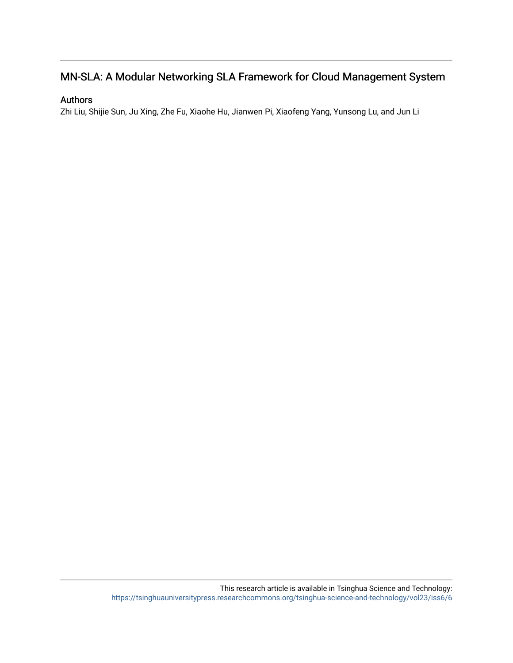# MN-SLA: A Modular Networking SLA Framework for Cloud Management System

# Authors

Zhi Liu, Shijie Sun, Ju Xing, Zhe Fu, Xiaohe Hu, Jianwen Pi, Xiaofeng Yang, Yunsong Lu, and Jun Li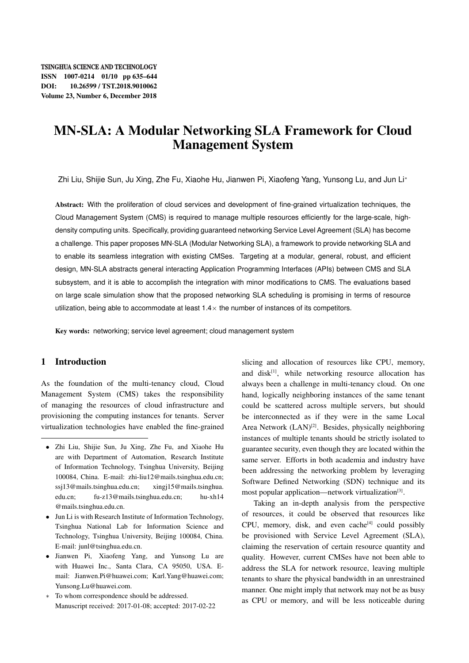TSINGHUA SCIENCE AND TECHNOLOGY ISSN 1007-0214 01/10 pp 635–644 DOI: 10.26599 / TST.2018.9010062 Volume 23, Number 6, December 2018

# MN-SLA: A Modular Networking SLA Framework for Cloud Management System

Zhi Liu, Shijie Sun, Ju Xing, Zhe Fu, Xiaohe Hu, Jianwen Pi, Xiaofeng Yang, Yunsong Lu, and Jun Li*<sup>∗</sup>*

Abstract: With the proliferation of cloud services and development of fine-grained virtualization techniques, the Cloud Management System (CMS) is required to manage multiple resources efficiently for the large-scale, highdensity computing units. Specifically, providing guaranteed networking Service Level Agreement (SLA) has become a challenge. This paper proposes MN-SLA (Modular Networking SLA), a framework to provide networking SLA and to enable its seamless integration with existing CMSes. Targeting at a modular, general, robust, and efficient design, MN-SLA abstracts general interacting Application Programming Interfaces (APIs) between CMS and SLA subsystem, and it is able to accomplish the integration with minor modifications to CMS. The evaluations based on large scale simulation show that the proposed networking SLA scheduling is promising in terms of resource utilization, being able to accommodate at least 1.4*×* the number of instances of its competitors.

Key words: networking; service level agreement; cloud management system

# 1 Introduction

As the foundation of the multi-tenancy cloud, Cloud Management System (CMS) takes the responsibility of managing the resources of cloud infrastructure and provisioning the computing instances for tenants. Server virtualization technologies have enabled the fine-grained

- *•* Jun Li is with Research Institute of Information Technology, Tsinghua National Lab for Information Science and Technology, Tsinghua University, Beijing 100084, China. E-mail: junl@tsinghua.edu.cn.
- *•* Jianwen Pi, Xiaofeng Yang, and Yunsong Lu are with Huawei Inc., Santa Clara, CA 95050, USA. Email: Jianwen.Pi@huawei.com; Karl.Yang@huawei.com; Yunsong.Lu@huawei.com.
- *∗* To whom correspondence should be addressed. Manuscript received: 2017-01-08; accepted: 2017-02-22

slicing and allocation of resources like CPU, memory, and  $disk<sup>[1]</sup>$ , while networking resource allocation has always been a challenge in multi-tenancy cloud. On one hand, logically neighboring instances of the same tenant could be scattered across multiple servers, but should be interconnected as if they were in the same Local Area Network  $(LAN)^{[2]}$ . Besides, physically neighboring instances of multiple tenants should be strictly isolated to guarantee security, even though they are located within the same server. Efforts in both academia and industry have been addressing the networking problem by leveraging Software Defined Networking (SDN) technique and its most popular application—network virtualization<sup>[3]</sup>.

Taking an in-depth analysis from the perspective of resources, it could be observed that resources like CPU, memory, disk, and even cache $[4]$  could possibly be provisioned with Service Level Agreement (SLA), claiming the reservation of certain resource quantity and quality. However, current CMSes have not been able to address the SLA for network resource, leaving multiple tenants to share the physical bandwidth in an unrestrained manner. One might imply that network may not be as busy as CPU or memory, and will be less noticeable during

*<sup>•</sup>* Zhi Liu, Shijie Sun, Ju Xing, Zhe Fu, and Xiaohe Hu are with Department of Automation, Research Institute of Information Technology, Tsinghua University, Beijing 100084, China. E-mail: zhi-liu12@mails.tsinghua.edu.cn; ssj13@mails.tsinghua.edu.cn; xingj15@mails.tsinghua. edu.cn; fu-z13@mails.tsinghua.edu.cn; hu-xh14 @mails.tsinghua.edu.cn.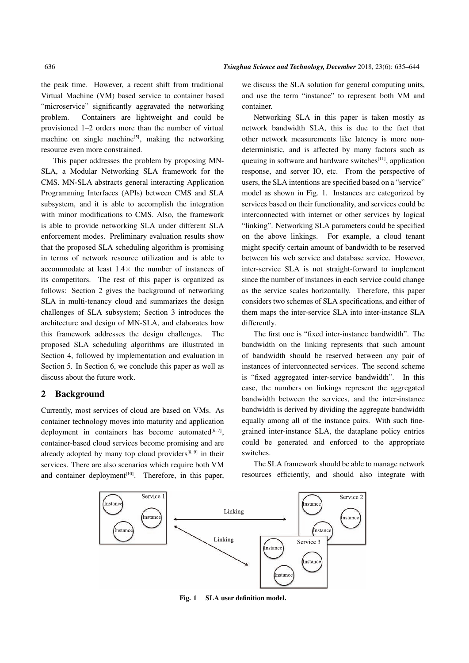the peak time. However, a recent shift from traditional Virtual Machine (VM) based service to container based "microservice" significantly aggravated the networking problem. Containers are lightweight and could be provisioned 1–2 orders more than the number of virtual machine on single machine<sup>[5]</sup>, making the networking resource even more constrained.

This paper addresses the problem by proposing MN-SLA, a Modular Networking SLA framework for the CMS. MN-SLA abstracts general interacting Application Programming Interfaces (APIs) between CMS and SLA subsystem, and it is able to accomplish the integration with minor modifications to CMS. Also, the framework is able to provide networking SLA under different SLA enforcement modes. Preliminary evaluation results show that the proposed SLA scheduling algorithm is promising in terms of network resource utilization and is able to accommodate at least 1.4*×* the number of instances of its competitors. The rest of this paper is organized as follows: Section 2 gives the background of networking SLA in multi-tenancy cloud and summarizes the design challenges of SLA subsystem; Section 3 introduces the architecture and design of MN-SLA, and elaborates how this framework addresses the design challenges. The proposed SLA scheduling algorithms are illustrated in Section 4, followed by implementation and evaluation in Section 5. In Section 6, we conclude this paper as well as discuss about the future work.

# 2 Background

Currently, most services of cloud are based on VMs. As container technology moves into maturity and application deployment in containers has become automated $[6, 7]$ , container-based cloud services become promising and are already adopted by many top cloud providers $[8, 9]$  in their services. There are also scenarios which require both VM and container deployment $[10]$ . Therefore, in this paper, we discuss the SLA solution for general computing units, and use the term "instance" to represent both VM and container.

Networking SLA in this paper is taken mostly as network bandwidth SLA, this is due to the fact that other network measurements like latency is more nondeterministic, and is affected by many factors such as queuing in software and hardware switches<sup>[11]</sup>, application response, and server IO, etc. From the perspective of users, the SLA intentions are specified based on a "service" model as shown in Fig. 1. Instances are categorized by services based on their functionality, and services could be interconnected with internet or other services by logical "linking". Networking SLA parameters could be specified on the above linkings. For example, a cloud tenant might specify certain amount of bandwidth to be reserved between his web service and database service. However, inter-service SLA is not straight-forward to implement since the number of instances in each service could change as the service scales horizontally. Therefore, this paper considers two schemes of SLA specifications, and either of them maps the inter-service SLA into inter-instance SLA differently.

The first one is "fixed inter-instance bandwidth". The bandwidth on the linking represents that such amount of bandwidth should be reserved between any pair of instances of interconnected services. The second scheme is "fixed aggregated inter-service bandwidth". In this case, the numbers on linkings represent the aggregated bandwidth between the services, and the inter-instance bandwidth is derived by dividing the aggregate bandwidth equally among all of the instance pairs. With such finegrained inter-instance SLA, the dataplane policy entries could be generated and enforced to the appropriate switches.



The SLA framework should be able to manage network resources efficiently, and should also integrate with

Fig. 1 SLA user definition model.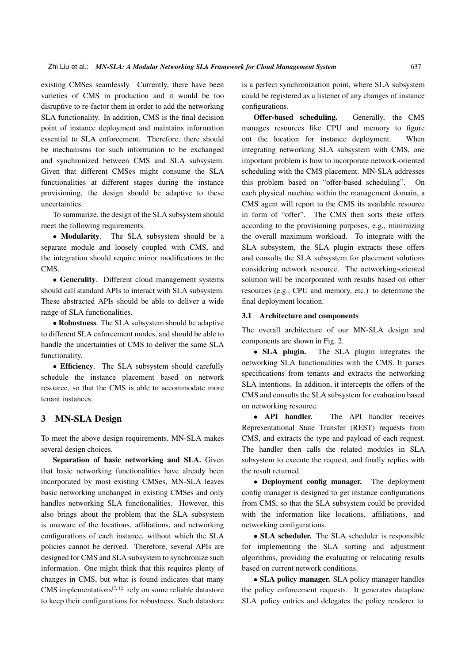existing CMSes seamlessly. Currently, there have been varieties of CMS in production and it would be too disruptive to re-factor them in order to add the networking SLA functionality. In addition, CMS is the final decision point of instance deployment and maintains information essential to SLA enforcement. Therefore, there should be mechanisms for such information to be exchanged and synchronized between CMS and SLA subsystem. Given that different CMSes might consume the SLA functionalities at different stages during the instance provisioning, the design should be adaptive to these uncertainties.

To summarize, the design of the SLA subsystem should meet the following requirements.

*•* Modularity. The SLA subsystem should be a separate module and loosely coupled with CMS, and the integration should require minor modifications to the CMS.

*•* Generality. Different cloud management systems should call standard APIs to interact with SLA subsystem. These abstracted APIs should be able to deliver a wide range of SLA functionalities.

*•* Robustness. The SLA subsystem should be adaptive to different SLA enforcement modes, and should be able to handle the uncertainties of CMS to deliver the same SLA functionality.

*•* Efficiency. The SLA subsystem should carefully schedule the instance placement based on network resource, so that the CMS is able to accommodate more tenant instances.

# 3 MN-SLA Design

To meet the above design requirements, MN-SLA makes several design choices.

Separation of basic networking and SLA. Given that basic networking functionalities have already been incorporated by most existing CMSes, MN-SLA leaves basic networking unchanged in existing CMSes and only handles networking SLA functionalities. However, this also brings about the problem that the SLA subsystem is unaware of the locations, affiliations, and networking configurations of each instance, without which the SLA policies cannot be derived. Therefore, several APIs are designed for CMS and SLA subsystem to synchronize such information. One might think that this requires plenty of changes in CMS, but what is found indicates that many  $CMS$  implementations<sup>[7, 12]</sup> rely on some reliable datastore to keep their configurations for robustness. Such datastore is a perfect synchronization point, where SLA subsystem could be registered as a listener of any changes of instance configurations.

Offer-based scheduling. Generally, the CMS manages resources like CPU and memory to figure out the location for instance deployment. When integrating networking SLA subsystem with CMS, one important problem is how to incorporate network-oriented scheduling with the CMS placement. MN-SLA addresses this problem based on "offer-based scheduling". On each physical machine within the management domain, a CMS agent will report to the CMS its available resource in form of "offer". The CMS then sorts these offers according to the provisioning purposes, e.g., minimizing the overall maximum workload. To integrate with the SLA subsystem, the SLA plugin extracts these offers and consults the SLA subsystem for placement solutions considering network resource. The networking-oriented solution will be incorporated with results based on other resources (e.g., CPU and memory, etc.) to determine the final deployment location.

#### 3.1 Architecture and components

The overall architecture of our MN-SLA design and components are shown in Fig. 2.

• SLA plugin. The SLA plugin integrates the networking SLA functionalities with the CMS. It parses specifications from tenants and extracts the networking SLA intentions. In addition, it intercepts the offers of the CMS and consults the SLA subsystem for evaluation based on networking resource.

*•* API handler. The API handler receives Representational State Transfer (REST) requests from CMS, and extracts the type and payload of each request. The handler then calls the related modules in SLA subsystem to execute the request, and finally replies with the result returned.

*•* Deployment config manager. The deployment config manager is designed to get instance configurations from CMS, so that the SLA subsystem could be provided with the information like locations, affiliations, and networking configurations.

*•* SLA scheduler. The SLA scheduler is responsible for implementing the SLA sorting and adjustment algorithms, providing the evaluating or relocating results based on current network conditions.

• **SLA policy manager.** SLA policy manager handles the policy enforcement requests. It generates dataplane SLA policy entries and delegates the policy renderer to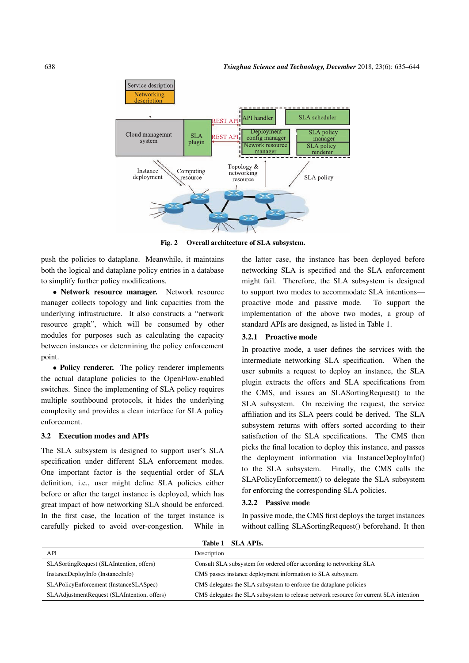

Fig. 2 Overall architecture of SLA subsystem.

push the policies to dataplane. Meanwhile, it maintains both the logical and dataplane policy entries in a database to simplify further policy modifications.

*•* Network resource manager. Network resource manager collects topology and link capacities from the underlying infrastructure. It also constructs a "network resource graph", which will be consumed by other modules for purposes such as calculating the capacity between instances or determining the policy enforcement point.

• Policy renderer. The policy renderer implements the actual dataplane policies to the OpenFlow-enabled switches. Since the implementing of SLA policy requires multiple southbound protocols, it hides the underlying complexity and provides a clean interface for SLA policy enforcement.

## 3.2 Execution modes and APIs

The SLA subsystem is designed to support user's SLA specification under different SLA enforcement modes. One important factor is the sequential order of SLA definition, i.e., user might define SLA policies either before or after the target instance is deployed, which has great impact of how networking SLA should be enforced. In the first case, the location of the target instance is carefully picked to avoid over-congestion. While in

the latter case, the instance has been deployed before networking SLA is specified and the SLA enforcement might fail. Therefore, the SLA subsystem is designed to support two modes to accommodate SLA intentions proactive mode and passive mode. To support the implementation of the above two modes, a group of standard APIs are designed, as listed in Table 1.

#### 3.2.1 Proactive mode

In proactive mode, a user defines the services with the intermediate networking SLA specification. When the user submits a request to deploy an instance, the SLA plugin extracts the offers and SLA specifications from the CMS, and issues an SLASortingRequest() to the SLA subsystem. On receiving the request, the service affiliation and its SLA peers could be derived. The SLA subsystem returns with offers sorted according to their satisfaction of the SLA specifications. The CMS then picks the final location to deploy this instance, and passes the deployment information via InstanceDeployInfo() to the SLA subsystem. Finally, the CMS calls the SLAPolicyEnforcement() to delegate the SLA subsystem for enforcing the corresponding SLA policies.

### 3.2.2 Passive mode

In passive mode, the CMS first deploys the target instances without calling SLASortingRequest() beforehand. It then

Table 1 SLA APIs.

| API                                         | Description                                                                           |
|---------------------------------------------|---------------------------------------------------------------------------------------|
| SLAS orting Request (SLAIntention, offers)  | Consult SLA subsystem for ordered offer according to networking SLA                   |
| InstanceDeployInfo (InstanceInfo)           | CMS passes instance deployment information to SLA subsystem                           |
| SLAPolicyEnforcement (InstanceSLASpec)      | CMS delegates the SLA subsystem to enforce the dataplane policies                     |
| SLAAdjustmentRequest (SLAIntention, offers) | CMS delegates the SLA subsystem to release network resource for current SLA intention |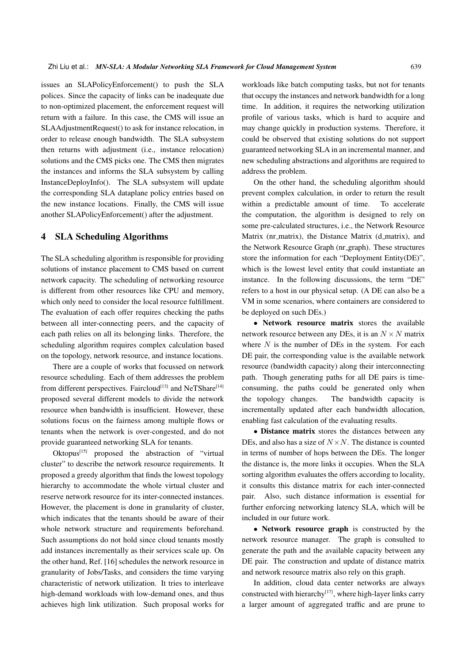issues an SLAPolicyEnforcement() to push the SLA polices. Since the capacity of links can be inadequate due to non-optimized placement, the enforcement request will return with a failure. In this case, the CMS will issue an SLAAdjustmentRequest() to ask for instance relocation, in order to release enough bandwidth. The SLA subsystem then returns with adjustment (i.e., instance relocation) solutions and the CMS picks one. The CMS then migrates the instances and informs the SLA subsystem by calling InstanceDeployInfo(). The SLA subsystem will update the corresponding SLA dataplane policy entries based on the new instance locations. Finally, the CMS will issue another SLAPolicyEnforcement() after the adjustment.

# 4 SLA Scheduling Algorithms

The SLA scheduling algorithm is responsible for providing solutions of instance placement to CMS based on current network capacity. The scheduling of networking resource is different from other resources like CPU and memory, which only need to consider the local resource fulfillment. The evaluation of each offer requires checking the paths between all inter-connecting peers, and the capacity of each path relies on all its belonging links. Therefore, the scheduling algorithm requires complex calculation based on the topology, network resource, and instance locations.

There are a couple of works that focussed on network resource scheduling. Each of them addresses the problem from different perspectives. Faircloud<sup>[13]</sup> and NeTShare<sup>[14]</sup> proposed several different models to divide the network resource when bandwidth is insufficient. However, these solutions focus on the fairness among multiple flows or tenants when the network is over-congested, and do not provide guaranteed networking SLA for tenants.

Oktopus<sup>[15]</sup> proposed the abstraction of "virtual" cluster" to describe the network resource requirements. It proposed a greedy algorithm that finds the lowest topology hierarchy to accommodate the whole virtual cluster and reserve network resource for its inter-connected instances. However, the placement is done in granularity of cluster, which indicates that the tenants should be aware of their whole network structure and requirements beforehand. Such assumptions do not hold since cloud tenants mostly add instances incrementally as their services scale up. On the other hand, Ref. [16] schedules the network resource in granularity of Jobs/Tasks, and considers the time varying characteristic of network utilization. It tries to interleave high-demand workloads with low-demand ones, and thus achieves high link utilization. Such proposal works for

workloads like batch computing tasks, but not for tenants that occupy the instances and network bandwidth for a long time. In addition, it requires the networking utilization profile of various tasks, which is hard to acquire and may change quickly in production systems. Therefore, it could be observed that existing solutions do not support guaranteed networking SLA in an incremental manner, and new scheduling abstractions and algorithms are required to address the problem.

On the other hand, the scheduling algorithm should prevent complex calculation, in order to return the result within a predictable amount of time. To accelerate the computation, the algorithm is designed to rely on some pre-calculated structures, i.e., the Network Resource Matrix (nr\_matrix), the Distance Matrix (d\_matrix), and the Network Resource Graph (nr graph). These structures store the information for each "Deployment Entity(DE)", which is the lowest level entity that could instantiate an instance. In the following discussions, the term "DE" refers to a host in our physical setup. (A DE can also be a VM in some scenarios, where containers are considered to be deployed on such DEs.)

*•* Network resource matrix stores the available network resource between any DEs, it is an  $N \times N$  matrix where *N* is the number of DEs in the system. For each DE pair, the corresponding value is the available network resource (bandwidth capacity) along their interconnecting path. Though generating paths for all DE pairs is timeconsuming, the paths could be generated only when the topology changes. The bandwidth capacity is incrementally updated after each bandwidth allocation, enabling fast calculation of the evaluating results.

• Distance matrix stores the distances between any DEs, and also has a size of *N×N*. The distance is counted in terms of number of hops between the DEs. The longer the distance is, the more links it occupies. When the SLA sorting algorithm evaluates the offers according to locality, it consults this distance matrix for each inter-connected pair. Also, such distance information is essential for further enforcing networking latency SLA, which will be included in our future work.

*•* Network resource graph is constructed by the network resource manager. The graph is consulted to generate the path and the available capacity between any DE pair. The construction and update of distance matrix and network resource matrix also rely on this graph.

In addition, cloud data center networks are always constructed with hierarchy<sup>[17]</sup>, where high-layer links carry a larger amount of aggregated traffic and are prune to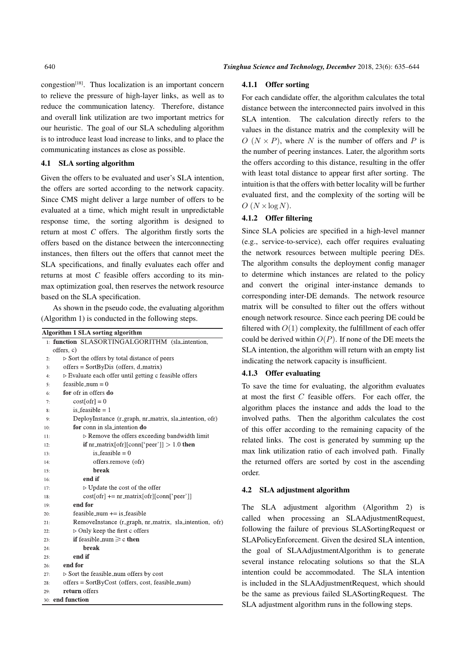congestion<sup>[18]</sup>. Thus localization is an important concern to relieve the pressure of high-layer links, as well as to reduce the communication latency. Therefore, distance and overall link utilization are two important metrics for our heuristic. The goal of our SLA scheduling algorithm is to introduce least load increase to links, and to place the communicating instances as close as possible.

#### 4.1 SLA sorting algorithm

Given the offers to be evaluated and user's SLA intention, the offers are sorted according to the network capacity. Since CMS might deliver a large number of offers to be evaluated at a time, which might result in unpredictable response time, the sorting algorithm is designed to return at most *C* offers. The algorithm firstly sorts the offers based on the distance between the interconnecting instances, then filters out the offers that cannot meet the SLA specifications, and finally evaluates each offer and returns at most *C* feasible offers according to its minmax optimization goal, then reserves the network resource based on the SLA specification.

As shown in the pseudo code, the evaluating algorithm (Algorithm 1) is conducted in the following steps.

| Algorithm 1 SLA sorting algorithm                                          |
|----------------------------------------------------------------------------|
| 1: function SLASORTINGALGORITHM (sla_intention,                            |
| offers, c)                                                                 |
| $\triangleright$ Sort the offers by total distance of peers<br>2:          |
| $offsets = SortByDis$ (offers, d_matrix)<br>3:                             |
| $\triangleright$ Evaluate each offer until getting c feasible offers<br>4: |
| $feasible_number = 0$<br>5:                                                |
| for ofr in offers do<br>6:                                                 |
| $cost[ofr] = 0$<br>7:                                                      |
| is_feasible = $1$<br>8:                                                    |
| DeployInstance (r_graph, nr_matrix, sla_intention, ofr)<br>9:              |
| for conn in sla_intention do<br>10:                                        |
| $\triangleright$ Remove the offers exceeding bandwidth limit<br>11:        |
| <b>if</b> nr_matrix[ofr][conn['peer']] $> 1.0$ then<br>12:                 |
| is_feasible = $0$<br>13:                                                   |
| offers.remove (ofr)<br>14:                                                 |
| <b>break</b><br>15:                                                        |
| end if<br>16:                                                              |
| $\triangleright$ Update the cost of the offer<br>17:                       |
| $cost[off] += nr_matrix[off][conn['peer']]$<br>18:                         |
| end for<br>19:                                                             |
| $feasible_number = is_features$<br>20:                                     |
| RemoveInstance (r_graph, nr_matrix, sla_intention, ofr)<br>21:             |
| $\triangleright$ Only keep the first c offers<br>22:                       |
| <b>if</b> feasible_num $\geq$ c <b>then</b><br>23:                         |
| <b>break</b><br>24:                                                        |
| end if<br>25:                                                              |
| end for<br>26:                                                             |
| $\triangleright$ Sort the feasible num offers by cost<br>27:               |
| $offsets = SortByCost (offers, cost, feasible_number)$<br>28:              |
| return offers<br>29:                                                       |
| 30: end function                                                           |

## 4.1.1 Offer sorting

For each candidate offer, the algorithm calculates the total distance between the interconnected pairs involved in this SLA intention. The calculation directly refers to the values in the distance matrix and the complexity will be  $O(N \times P)$ , where *N* is the number of offers and *P* is the number of peering instances. Later, the algorithm sorts the offers according to this distance, resulting in the offer with least total distance to appear first after sorting. The intuition is that the offers with better locality will be further evaluated first, and the complexity of the sorting will be  $O(N \times \log N)$ .

#### 4.1.2 Offer filtering

Since SLA policies are specified in a high-level manner (e.g., service-to-service), each offer requires evaluating the network resources between multiple peering DEs. The algorithm consults the deployment config manager to determine which instances are related to the policy and convert the original inter-instance demands to corresponding inter-DE demands. The network resource matrix will be consulted to filter out the offers without enough network resource. Since each peering DE could be filtered with  $O(1)$  complexity, the fulfillment of each offer could be derived within *O*(*P*). If none of the DE meets the SLA intention, the algorithm will return with an empty list indicating the network capacity is insufficient.

# 4.1.3 Offer evaluating

To save the time for evaluating, the algorithm evaluates at most the first *C* feasible offers. For each offer, the algorithm places the instance and adds the load to the involved paths. Then the algorithm calculates the cost of this offer according to the remaining capacity of the related links. The cost is generated by summing up the max link utilization ratio of each involved path. Finally the returned offers are sorted by cost in the ascending order.

### 4.2 SLA adjustment algorithm

The SLA adjustment algorithm (Algorithm 2) is called when processing an SLAAdjustmentRequest, following the failure of previous SLASortingRequest or SLAPolicyEnforcement. Given the desired SLA intention, the goal of SLAAdjustmentAlgorithm is to generate several instance relocating solutions so that the SLA intention could be accommodated. The SLA intention is included in the SLAAdjustmentRequest, which should be the same as previous failed SLASortingRequest. The SLA adjustment algorithm runs in the following steps.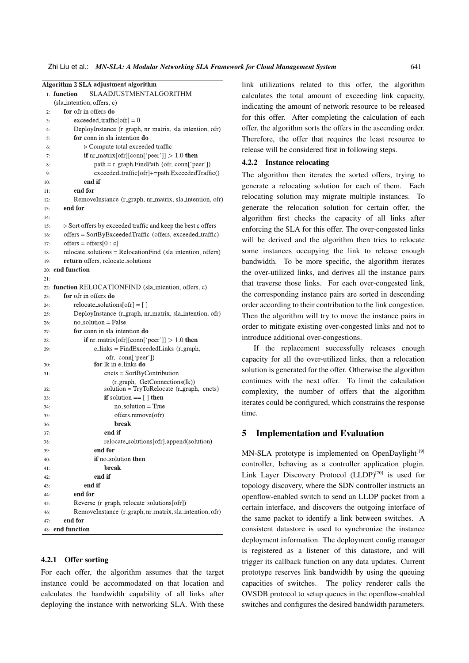|            | Algorithm 2 SLA adjustment algorithm                                        |
|------------|-----------------------------------------------------------------------------|
|            | <b>SLAADJUSTMENTALGORITHM</b><br>1: function                                |
|            | $sla$ intention, offers, c)                                                 |
| 2:         | for ofr in offers do                                                        |
| 3:         | exceeded_traffic $[ofr] = 0$                                                |
| 4:         | DeployInstance (r_graph, nr_matrix, sla_intention, ofr)                     |
| 5:         | for conn in sla_intention do                                                |
| 6:         | $\triangleright$ Compute total exceeded traffic                             |
| 7:         | <b>if</b> nr matrix[ofr][conn['peer']] $> 1.0$ then                         |
| 8:         | path = r_graph.FindPath (ofr, conn['peer'])                                 |
| 9:         | exceeded_traffic[ofr]+=path.ExceededTraffic()                               |
| 10:        | end if                                                                      |
| 11:        | end for                                                                     |
| 12:        | RemoveInstance (r_graph, nr_matrix, sla_intention, ofr)                     |
| 13:        | end for                                                                     |
| 14:        |                                                                             |
| 15:        | $\triangleright$ Sort offers by exceeded traffic and keep the best c offers |
| 16:        | offers = SortByExceededTraffic (offers, exceeded_traffic)                   |
| 17:        | offers = offers[0 : c]                                                      |
| 18:        | relocate_solutions = RelocationFind (sla_intention, offers)                 |
| 19:        | <b>return</b> offers, relocate solutions                                    |
| 20:        | end function                                                                |
| 21:        |                                                                             |
| 22:        | function RELOCATIONFIND (sla_intention, offers, c)                          |
| 23:        | for ofr in offers do                                                        |
| 24:        | relocate_solutions $[ofr] = [ ]$                                            |
| 25:        | DeployInstance (r_graph, nr_matrix, sla_intention, ofr)                     |
| 26:        | $no\_solution = False$                                                      |
| 27:        | <b>for</b> conn in sla intention <b>do</b>                                  |
| 28:        | <b>if</b> nr matrix[ofr][conn['peer']] $> 1.0$ then                         |
| 29:        | e_links = FindExceededLinks (r_graph,                                       |
|            | ofr, conn['peer'])                                                          |
| 30:        | for lk in e_links do                                                        |
| 31:        | $cncts = SortByContribution$                                                |
|            | (r_graph, GetConnections(lk))<br>$solution = TryToRelocate (r-graph,cncts)$ |
| 32:        | <b>if</b> solution $==$ [ ] <b>then</b>                                     |
| 33:        | no_solution = True                                                          |
| 34:<br>35: | offers.remove(ofr)                                                          |
| 36:        | <b>break</b>                                                                |
| 37:        | end if                                                                      |
| 38:        | relocate_solutions[ofr].append(solution)                                    |
| 39:        | end for                                                                     |
| 40:        | <b>if</b> no_solution <b>then</b>                                           |
| 41:        | break                                                                       |
| 42:        | end if                                                                      |
| 43:        | end if                                                                      |
| 44:        | end for                                                                     |
| 45:        | Reverse (r_graph, relocate_solutions[ofr])                                  |
| 46:        | RemoveInstance (r_graph, nr_matrix, sla_intention, ofr)                     |
| 47:        | end for                                                                     |
|            | end function                                                                |
| 48:        |                                                                             |

### 4.2.1 Offer sorting

For each offer, the algorithm assumes that the target instance could be accommodated on that location and calculates the bandwidth capability of all links after deploying the instance with networking SLA. With these link utilizations related to this offer, the algorithm calculates the total amount of exceeding link capacity, indicating the amount of network resource to be released for this offer. After completing the calculation of each offer, the algorithm sorts the offers in the ascending order. Therefore, the offer that requires the least resource to release will be considered first in following steps.

## 4.2.2 Instance relocating

The algorithm then iterates the sorted offers, trying to generate a relocating solution for each of them. Each relocating solution may migrate multiple instances. To generate the relocation solution for certain offer, the algorithm first checks the capacity of all links after enforcing the SLA for this offer. The over-congested links will be derived and the algorithm then tries to relocate some instances occupying the link to release enough bandwidth. To be more specific, the algorithm iterates the over-utilized links, and derives all the instance pairs that traverse those links. For each over-congested link, the corresponding instance pairs are sorted in descending order according to their contribution to the link congestion. Then the algorithm will try to move the instance pairs in order to mitigate existing over-congested links and not to introduce additional over-congestions.

If the replacement successfully releases enough capacity for all the over-utilized links, then a relocation solution is generated for the offer. Otherwise the algorithm continues with the next offer. To limit the calculation complexity, the number of offers that the algorithm iterates could be configured, which constrains the response time.

# 5 Implementation and Evaluation

 $MN-SLA$  prototype is implemented on OpenDaylight<sup>[19]</sup> controller, behaving as a controller application plugin. Link Layer Discovery Protocol (LLDP)<sup>[20]</sup> is used for topology discovery, where the SDN controller instructs an openflow-enabled switch to send an LLDP packet from a certain interface, and discovers the outgoing interface of the same packet to identify a link between switches. A consistent datastore is used to synchronize the instance deployment information. The deployment config manager is registered as a listener of this datastore, and will trigger its callback function on any data updates. Current prototype reserves link bandwidth by using the queuing capacities of switches. The policy renderer calls the OVSDB protocol to setup queues in the openflow-enabled switches and configures the desired bandwidth parameters.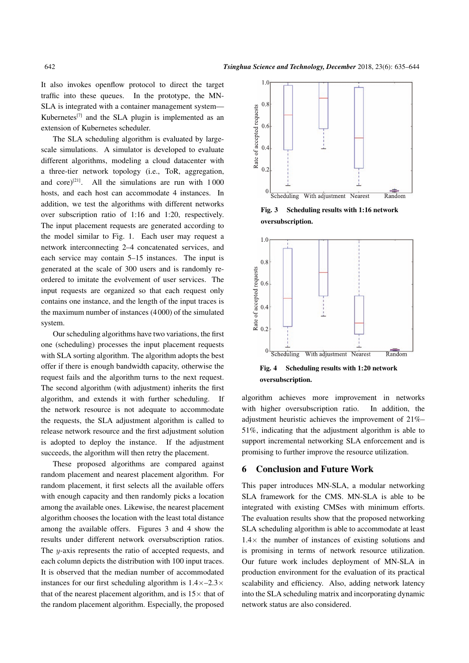It also invokes openflow protocol to direct the target traffic into these queues. In the prototype, the MN-SLA is integrated with a container management system— Kubernetes<sup>[7]</sup> and the SLA plugin is implemented as an extension of Kubernetes scheduler.

The SLA scheduling algorithm is evaluated by largescale simulations. A simulator is developed to evaluate different algorithms, modeling a cloud datacenter with a three-tier network topology (i.e., ToR, aggregation, and core)<sup>[21]</sup>. All the simulations are run with  $1000$ hosts, and each host can accommodate 4 instances. In addition, we test the algorithms with different networks over subscription ratio of 1:16 and 1:20, respectively. The input placement requests are generated according to the model similar to Fig. 1. Each user may request a network interconnecting 2–4 concatenated services, and each service may contain 5–15 instances. The input is generated at the scale of 300 users and is randomly reordered to imitate the evolvement of user services. The input requests are organized so that each request only contains one instance, and the length of the input traces is the maximum number of instances (4 000) of the simulated system.

Our scheduling algorithms have two variations, the first one (scheduling) processes the input placement requests with SLA sorting algorithm. The algorithm adopts the best offer if there is enough bandwidth capacity, otherwise the request fails and the algorithm turns to the next request. The second algorithm (with adjustment) inherits the first algorithm, and extends it with further scheduling. If the network resource is not adequate to accommodate the requests, the SLA adjustment algorithm is called to release network resource and the first adjustment solution is adopted to deploy the instance. If the adjustment succeeds, the algorithm will then retry the placement.

These proposed algorithms are compared against random placement and nearest placement algorithm. For random placement, it first selects all the available offers with enough capacity and then randomly picks a location among the available ones. Likewise, the nearest placement algorithm chooses the location with the least total distance among the available offers. Figures 3 and 4 show the results under different network oversubscription ratios. The *y*-axis represents the ratio of accepted requests, and each column depicts the distribution with 100 input traces. It is observed that the median number of accommodated instances for our first scheduling algorithm is 1.4*×*–2.3*×* that of the nearest placement algorithm, and is 15*×* that of the random placement algorithm. Especially, the proposed



Fig. 3 Scheduling results with 1:16 network oversubscription.



Fig. 4 Scheduling results with 1:20 network oversubscription.

algorithm achieves more improvement in networks with higher oversubscription ratio. In addition, the adjustment heuristic achieves the improvement of 21%– 51%, indicating that the adjustment algorithm is able to support incremental networking SLA enforcement and is promising to further improve the resource utilization.

# 6 Conclusion and Future Work

This paper introduces MN-SLA, a modular networking SLA framework for the CMS. MN-SLA is able to be integrated with existing CMSes with minimum efforts. The evaluation results show that the proposed networking SLA scheduling algorithm is able to accommodate at least 1.4*×* the number of instances of existing solutions and is promising in terms of network resource utilization. Our future work includes deployment of MN-SLA in production environment for the evaluation of its practical scalability and efficiency. Also, adding network latency into the SLA scheduling matrix and incorporating dynamic network status are also considered.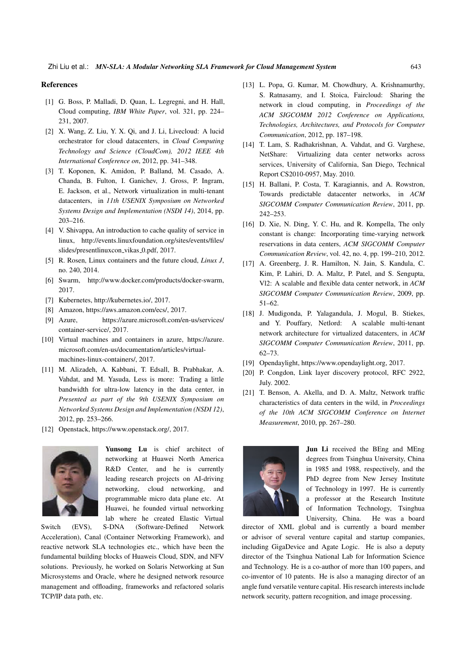### References

- [1] G. Boss, P. Malladi, D. Quan, L. Legregni, and H. Hall, Cloud computing, *IBM White Paper*, vol. 321, pp. 224– 231, 2007.
- [2] X. Wang, Z. Liu, Y. X. Qi, and J. Li, Livecloud: A lucid orchestrator for cloud datacenters, in *Cloud Computing Technology and Science (CloudCom), 2012 IEEE 4th International Conference on*, 2012, pp. 341–348.
- [3] T. Koponen, K. Amidon, P. Balland, M. Casado, A. Chanda, B. Fulton, I. Ganichev, J. Gross, P. Ingram, E. Jackson, et al., Network virtualization in multi-tenant datacenters, in *11th USENIX Symposium on Networked Systems Design and Implementation (NSDI 14)*, 2014, pp. 203–216.
- [4] V. Shivappa, An introduction to cache quality of service in linux, http://events.linuxfoundation.org/sites/events/files/ slides/presentlinuxcon\_vikas\_0.pdf, 2017.
- [5] R. Rosen, Linux containers and the future cloud, *Linux J*, no. 240, 2014.
- [6] Swarm, http://www.docker.com/products/docker-swarm, 2017.
- [7] Kubernetes, http://kubernetes.io/, 2017.
- [8] Amazon, https://aws.amazon.com/ecs/, 2017.
- [9] Azure, https://azure.microsoft.com/en-us/services/ container-service/, 2017.
- [10] Virtual machines and containers in azure, https://azure. microsoft.com/en-us/documentation/articles/virtualmachines-linux-containers/, 2017.
- [11] M. Alizadeh, A. Kabbani, T. Edsall, B. Prabhakar, A. Vahdat, and M. Yasuda, Less is more: Trading a little bandwidth for ultra-low latency in the data center, in *Presented as part of the 9th USENIX Symposium on Networked Systems Design and Implementation (NSDI 12)*, 2012, pp. 253–266.
- [12] Openstack, https://www.openstack.org/, 2017.



Yunsong Lu is chief architect of networking at Huawei North America R&D Center, and he is currently leading research projects on AI-driving networking, cloud networking, and programmable micro data plane etc. At Huawei, he founded virtual networking lab where he created Elastic Virtual

Switch (EVS), S-DNA (Software-Defined Network Acceleration), Canal (Container Networking Framework), and reactive network SLA technologies etc., which have been the fundamental building blocks of Huaweis Cloud, SDN, and NFV solutions. Previously, he worked on Solaris Networking at Sun Microsystems and Oracle, where he designed network resource management and offloading, frameworks and refactored solaris TCP/IP data path, etc.

- [13] L. Popa, G. Kumar, M. Chowdhury, A. Krishnamurthy, S. Ratnasamy, and I. Stoica, Faircloud: Sharing the network in cloud computing, in *Proceedings of the ACM SIGCOMM 2012 Conference on Applications, Technologies, Architectures, and Protocols for Computer Communication*, 2012, pp. 187–198.
- [14] T. Lam, S. Radhakrishnan, A. Vahdat, and G. Varghese, NetShare: Virtualizing data center networks across services, University of California, San Diego, Technical Report CS2010-0957, May. 2010.
- [15] H. Ballani, P. Costa, T. Karagiannis, and A. Rowstron, Towards predictable datacenter networks, in *ACM SIGCOMM Computer Communication Review*, 2011, pp. 242–253.
- [16] D. Xie, N. Ding, Y. C. Hu, and R. Kompella, The only constant is change: Incorporating time-varying network reservations in data centers, *ACM SIGCOMM Computer Communication Review*, vol. 42, no. 4, pp. 199–210, 2012.
- [17] A. Greenberg, J. R. Hamilton, N. Jain, S. Kandula, C. Kim, P. Lahiri, D. A. Maltz, P. Patel, and S. Sengupta, Vl2: A scalable and flexible data center network, in *ACM SIGCOMM Computer Communication Review*, 2009, pp. 51–62.
- [18] J. Mudigonda, P. Yalagandula, J. Mogul, B. Stiekes, and Y. Pouffary, Netlord: A scalable multi-tenant network architecture for virtualized datacenters, in *ACM SIGCOMM Computer Communication Review*, 2011, pp. 62–73.
- [19] Opendaylight, https://www.opendaylight.org, 2017.
- [20] P. Congdon, Link layer discovery protocol, RFC 2922, July. 2002.
- [21] T. Benson, A. Akella, and D. A. Maltz, Network traffic characteristics of data centers in the wild, in *Proceedings of the 10th ACM SIGCOMM Conference on Internet Measurement*, 2010, pp. 267–280.



Jun Li received the BEng and MEng degrees from Tsinghua University, China in 1985 and 1988, respectively, and the PhD degree from New Jersey Institute of Technology in 1997. He is currently a professor at the Research Institute of Information Technology, Tsinghua University, China. He was a board

director of XML global and is currently a board member or advisor of several venture capital and startup companies, including GigaDevice and Agate Logic. He is also a deputy director of the Tsinghua National Lab for Information Science and Technology. He is a co-author of more than 100 papers, and co-inventor of 10 patents. He is also a managing director of an angle fund versatile venture capital. His research interests include network security, pattern recognition, and image processing.